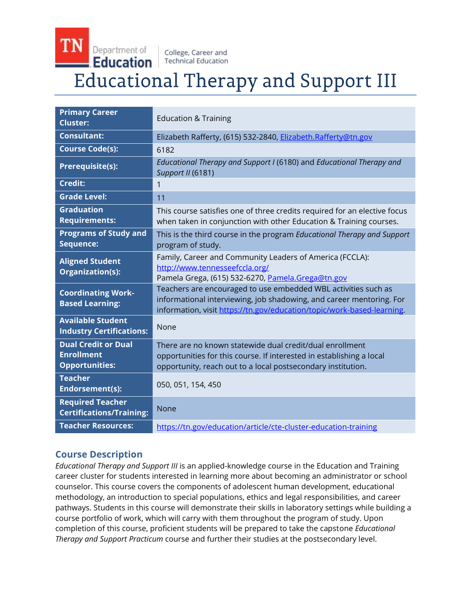### **TN** Department of College, Career and Education **Technical Education Educational Therapy and Support III**

| <b>Primary Career</b><br><b>Cluster:</b>                                 | <b>Education &amp; Training</b>                                                                                                                                                                                  |
|--------------------------------------------------------------------------|------------------------------------------------------------------------------------------------------------------------------------------------------------------------------------------------------------------|
| <b>Consultant:</b>                                                       | Elizabeth Rafferty, (615) 532-2840, Elizabeth.Rafferty@tn.gov                                                                                                                                                    |
| <b>Course Code(s):</b>                                                   | 6182                                                                                                                                                                                                             |
| <b>Prerequisite(s):</b>                                                  | Educational Therapy and Support I (6180) and Educational Therapy and<br>Support II (6181)                                                                                                                        |
| <b>Credit:</b>                                                           | 1                                                                                                                                                                                                                |
| <b>Grade Level:</b>                                                      | 11                                                                                                                                                                                                               |
| <b>Graduation</b><br><b>Requirements:</b>                                | This course satisfies one of three credits required for an elective focus<br>when taken in conjunction with other Education & Training courses.                                                                  |
| <b>Programs of Study and</b><br>Sequence:                                | This is the third course in the program Educational Therapy and Support<br>program of study.                                                                                                                     |
| <b>Aligned Student</b><br>Organization(s):                               | Family, Career and Community Leaders of America (FCCLA):<br>http://www.tennesseefccla.org/<br>Pamela Grega, (615) 532-6270, Pamela.Grega@tn.gov                                                                  |
| <b>Coordinating Work-</b><br><b>Based Learning:</b>                      | Teachers are encouraged to use embedded WBL activities such as<br>informational interviewing, job shadowing, and career mentoring. For<br>information, visit https://tn.gov/education/topic/work-based-learning. |
| <b>Available Student</b><br><b>Industry Certifications:</b>              | None                                                                                                                                                                                                             |
| <b>Dual Credit or Dual</b><br><b>Enrollment</b><br><b>Opportunities:</b> | There are no known statewide dual credit/dual enrollment<br>opportunities for this course. If interested in establishing a local<br>opportunity, reach out to a local postsecondary institution.                 |
| <b>Teacher</b><br>Endorsement(s):                                        | 050, 051, 154, 450                                                                                                                                                                                               |
| <b>Required Teacher</b><br><b>Certifications/Training:</b>               | None                                                                                                                                                                                                             |
| <b>Teacher Resources:</b>                                                | https://tn.gov/education/article/cte-cluster-education-training                                                                                                                                                  |

## **Course Description**

*Educational Therapy and Support III* is an applied-knowledge course in the Education and Training career cluster for students interested in learning more about becoming an administrator or school counselor. This course covers the components of adolescent human development, educational methodology, an introduction to special populations, ethics and legal responsibilities, and career pathways. Students in this course will demonstrate their skills in laboratory settings while building a course portfolio of work, which will carry with them throughout the program of study. Upon completion of this course, proficient students will be prepared to take the capstone *Educational Therapy and Support Practicum* course and further their studies at the postsecondary level.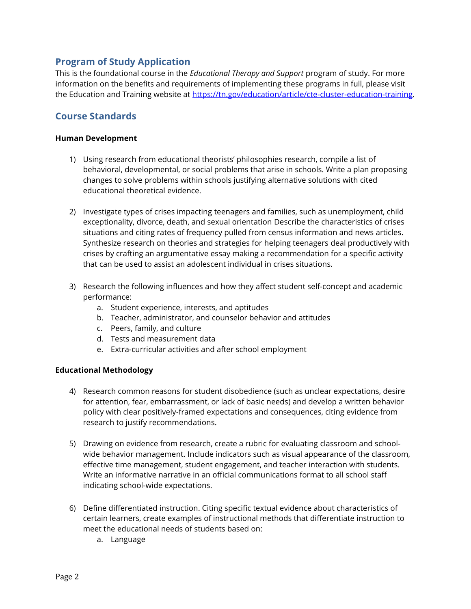### **Program of Study Application**

This is the foundational course in the *Educational Therapy and Support* program of study. For more information on the benefits and requirements of implementing these programs in full, please visit the Education and Training website at [https://tn.gov/education/article/cte-cluster-education-training.](https://tn.gov/education/article/cte-cluster-education-training)

## **Course Standards**

#### **Human Development**

- 1) Using research from educational theorists' philosophies research, compile a list of behavioral, developmental, or social problems that arise in schools. Write a plan proposing changes to solve problems within schools justifying alternative solutions with cited educational theoretical evidence.
- 2) Investigate types of crises impacting teenagers and families, such as unemployment, child exceptionality, divorce, death, and sexual orientation Describe the characteristics of crises situations and citing rates of frequency pulled from census information and news articles. Synthesize research on theories and strategies for helping teenagers deal productively with crises by crafting an argumentative essay making a recommendation for a specific activity that can be used to assist an adolescent individual in crises situations.
- 3) Research the following influences and how they affect student self-concept and academic performance:
	- a. Student experience, interests, and aptitudes
	- b. Teacher, administrator, and counselor behavior and attitudes
	- c. Peers, family, and culture
	- d. Tests and measurement data
	- e. Extra-curricular activities and after school employment

### **Educational Methodology**

- 4) Research common reasons for student disobedience (such as unclear expectations, desire for attention, fear, embarrassment, or lack of basic needs) and develop a written behavior policy with clear positively-framed expectations and consequences, citing evidence from research to justify recommendations.
- 5) Drawing on evidence from research, create a rubric for evaluating classroom and schoolwide behavior management. Include indicators such as visual appearance of the classroom, effective time management, student engagement, and teacher interaction with students. Write an informative narrative in an official communications format to all school staff indicating school-wide expectations.
- 6) Define differentiated instruction. Citing specific textual evidence about characteristics of certain learners, create examples of instructional methods that differentiate instruction to meet the educational needs of students based on:
	- a. Language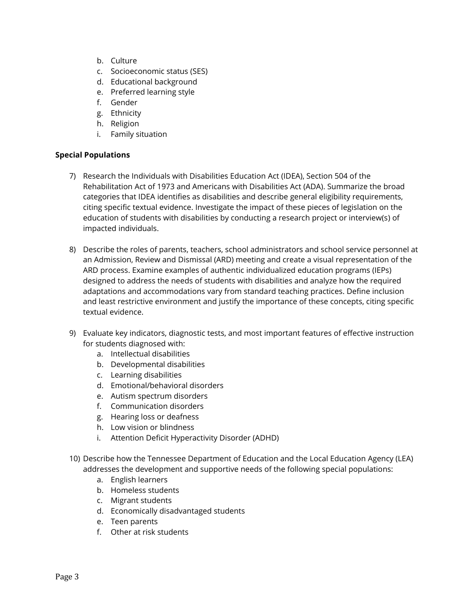- b. Culture
- c. Socioeconomic status (SES)
- d. Educational background
- e. Preferred learning style
- f. Gender
- g. Ethnicity
- h. Religion
- i. Family situation

#### **Special Populations**

- 7) Research the Individuals with Disabilities Education Act (IDEA), Section 504 of the Rehabilitation Act of 1973 and Americans with Disabilities Act (ADA). Summarize the broad categories that IDEA identifies as disabilities and describe general eligibility requirements, citing specific textual evidence. Investigate the impact of these pieces of legislation on the education of students with disabilities by conducting a research project or interview(s) of impacted individuals.
- 8) Describe the roles of parents, teachers, school administrators and school service personnel at an Admission, Review and Dismissal (ARD) meeting and create a visual representation of the ARD process. Examine examples of authentic individualized education programs (IEPs) designed to address the needs of students with disabilities and analyze how the required adaptations and accommodations vary from standard teaching practices. Define inclusion and least restrictive environment and justify the importance of these concepts, citing specific textual evidence.
- 9) Evaluate key indicators, diagnostic tests, and most important features of effective instruction for students diagnosed with:
	- a. Intellectual disabilities
	- b. Developmental disabilities
	- c. Learning disabilities
	- d. Emotional/behavioral disorders
	- e. Autism spectrum disorders
	- f. Communication disorders
	- g. Hearing loss or deafness
	- h. Low vision or blindness
	- i. Attention Deficit Hyperactivity Disorder (ADHD)
- 10) Describe how the Tennessee Department of Education and the Local Education Agency (LEA) addresses the development and supportive needs of the following special populations:
	- a. English learners
	- b. Homeless students
	- c. Migrant students
	- d. Economically disadvantaged students
	- e. Teen parents
	- f. Other at risk students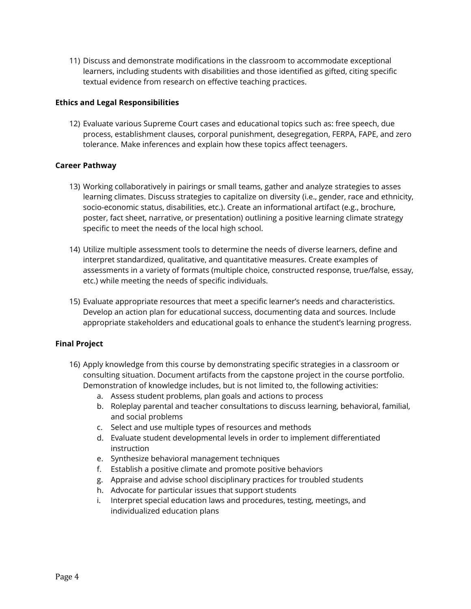11) Discuss and demonstrate modifications in the classroom to accommodate exceptional learners, including students with disabilities and those identified as gifted, citing specific textual evidence from research on effective teaching practices.

#### **Ethics and Legal Responsibilities**

12) Evaluate various Supreme Court cases and educational topics such as: free speech, due process, establishment clauses, corporal punishment, desegregation, FERPA, FAPE, and zero tolerance. Make inferences and explain how these topics affect teenagers.

#### **Career Pathway**

- 13) Working collaboratively in pairings or small teams, gather and analyze strategies to asses learning climates. Discuss strategies to capitalize on diversity (i.e., gender, race and ethnicity, socio-economic status, disabilities, etc.). Create an informational artifact (e.g., brochure, poster, fact sheet, narrative, or presentation) outlining a positive learning climate strategy specific to meet the needs of the local high school.
- 14) Utilize multiple assessment tools to determine the needs of diverse learners, define and interpret standardized, qualitative, and quantitative measures. Create examples of assessments in a variety of formats (multiple choice, constructed response, true/false, essay, etc.) while meeting the needs of specific individuals.
- 15) Evaluate appropriate resources that meet a specific learner's needs and characteristics. Develop an action plan for educational success, documenting data and sources. Include appropriate stakeholders and educational goals to enhance the student's learning progress.

#### **Final Project**

- 16) Apply knowledge from this course by demonstrating specific strategies in a classroom or consulting situation. Document artifacts from the capstone project in the course portfolio. Demonstration of knowledge includes, but is not limited to, the following activities:
	- a. Assess student problems, plan goals and actions to process
	- b. Roleplay parental and teacher consultations to discuss learning, behavioral, familial, and social problems
	- c. Select and use multiple types of resources and methods
	- d. Evaluate student developmental levels in order to implement differentiated instruction
	- e. Synthesize behavioral management techniques
	- f. Establish a positive climate and promote positive behaviors
	- g. Appraise and advise school disciplinary practices for troubled students
	- h. Advocate for particular issues that support students
	- i. Interpret special education laws and procedures, testing, meetings, and individualized education plans